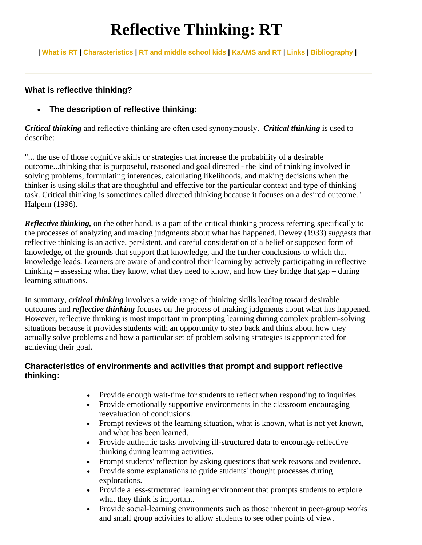# **Reflective Thinking: RT**

**| What is RT | Characteristics | RT and middle school kids | KaAMS and RT | Links | Bibliography |** 

## **What is reflective thinking?**

## • **The description of reflective thinking:**

*Critical thinking* and reflective thinking are often used synonymously. *Critical thinking* is used to describe:

"... the use of those cognitive skills or strategies that increase the probability of a desirable outcome...thinking that is purposeful, reasoned and goal directed - the kind of thinking involved in solving problems, formulating inferences, calculating likelihoods, and making decisions when the thinker is using skills that are thoughtful and effective for the particular context and type of thinking task. Critical thinking is sometimes called directed thinking because it focuses on a desired outcome." Halpern (1996).

*Reflective thinking,* on the other hand, is a part of the critical thinking process referring specifically to the processes of analyzing and making judgments about what has happened. Dewey (1933) suggests that reflective thinking is an active, persistent, and careful consideration of a belief or supposed form of knowledge, of the grounds that support that knowledge, and the further conclusions to which that knowledge leads. Learners are aware of and control their learning by actively participating in reflective thinking – assessing what they know, what they need to know, and how they bridge that gap – during learning situations.

In summary, *critical thinking* involves a wide range of thinking skills leading toward desirable outcomes and *reflective thinking* focuses on the process of making judgments about what has happened. However, reflective thinking is most important in prompting learning during complex problem-solving situations because it provides students with an opportunity to step back and think about how they actually solve problems and how a particular set of problem solving strategies is appropriated for achieving their goal.

## **Characteristics of environments and activities that prompt and support reflective thinking:**

- Provide enough wait-time for students to reflect when responding to inquiries.
- Provide emotionally supportive environments in the classroom encouraging reevaluation of conclusions.
- Prompt reviews of the learning situation, what is known, what is not yet known, and what has been learned.
- Provide authentic tasks involving ill-structured data to encourage reflective thinking during learning activities.
- Prompt students' reflection by asking questions that seek reasons and evidence.
- Provide some explanations to guide students' thought processes during explorations.
- Provide a less-structured learning environment that prompts students to explore what they think is important.
- Provide social-learning environments such as those inherent in peer-group works and small group activities to allow students to see other points of view.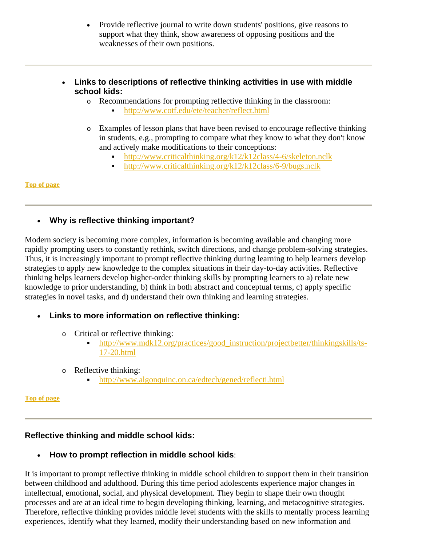- Provide reflective journal to write down students' positions, give reasons to support what they think, show awareness of opposing positions and the weaknesses of their own positions.
- **Links to descriptions of reflective thinking activities in use with middle school kids:**
	- o Recommendations for prompting reflective thinking in the classroom:
		- http://www.cotf.edu/ete/teacher/reflect.html
	- o Examples of lesson plans that have been revised to encourage reflective thinking in students, e.g., prompting to compare what they know to what they don't know and actively make modifications to their conceptions:
		- http://www.criticalthinking.org/k12/k12class/4-6/skeleton.nclk
		- http://www.criticalthinking.org/k12/k12class/6-9/bugs.nclk

## **Top of page**

# • **Why is reflective thinking important?**

Modern society is becoming more complex, information is becoming available and changing more rapidly prompting users to constantly rethink, switch directions, and change problem-solving strategies. Thus, it is increasingly important to prompt reflective thinking during learning to help learners develop strategies to apply new knowledge to the complex situations in their day-to-day activities. Reflective thinking helps learners develop higher-order thinking skills by prompting learners to a) relate new knowledge to prior understanding, b) think in both abstract and conceptual terms, c) apply specific strategies in novel tasks, and d) understand their own thinking and learning strategies.

# • **Links to more information on reflective thinking:**

- o Critical or reflective thinking:
	- http://www.mdk12.org/practices/good\_instruction/projectbetter/thinkingskills/ts-17-20.html
- o Reflective thinking:
	- http://www.algonquinc.on.ca/edtech/gened/reflecti.html

#### **Top of page**

# **Reflective thinking and middle school kids:**

# • **How to prompt reflection in middle school kids**:

It is important to prompt reflective thinking in middle school children to support them in their transition between childhood and adulthood. During this time period adolescents experience major changes in intellectual, emotional, social, and physical development. They begin to shape their own thought processes and are at an ideal time to begin developing thinking, learning, and metacognitive strategies. Therefore, reflective thinking provides middle level students with the skills to mentally process learning experiences, identify what they learned, modify their understanding based on new information and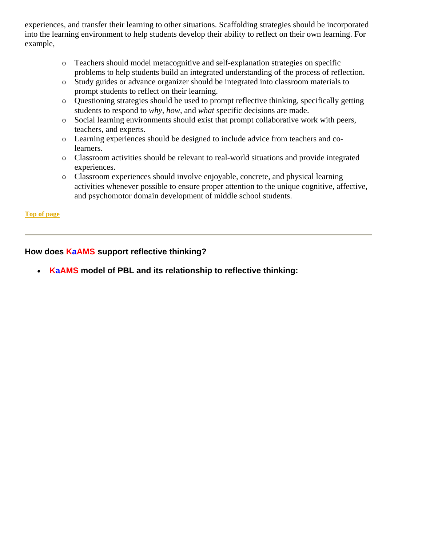experiences, and transfer their learning to other situations. Scaffolding strategies should be incorporated into the learning environment to help students develop their ability to reflect on their own learning. For example,

- o Teachers should model metacognitive and self-explanation strategies on specific problems to help students build an integrated understanding of the process of reflection.
- o Study guides or advance organizer should be integrated into classroom materials to prompt students to reflect on their learning.
- o Questioning strategies should be used to prompt reflective thinking, specifically getting students to respond to *why, how,* and *what* specific decisions are made.
- o Social learning environments should exist that prompt collaborative work with peers, teachers, and experts.
- o Learning experiences should be designed to include advice from teachers and colearners.
- o Classroom activities should be relevant to real-world situations and provide integrated experiences.
- o Classroom experiences should involve enjoyable, concrete, and physical learning activities whenever possible to ensure proper attention to the unique cognitive, affective, and psychomotor domain development of middle school students.

## **Top of page**

# **How does KaAMS support reflective thinking?**

• **KaAMS model of PBL and its relationship to reflective thinking:**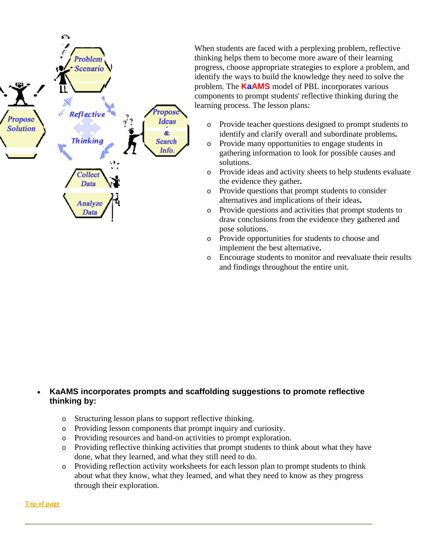

When students are faced with a perplexing problem, reflective thinking helps them to become more aware of their learning progress, choose appropriate strategies to explore a problem, and identify the ways to build the knowledge they need to solve the problem. The **KaAMS** model of PBL incorporates various components to prompt students' reflective thinking during the learning process. The lesson plans:

- o Provide teacher questions designed to prompt students to identify and clarify overall and subordinate problems**.**
- o Provide many opportunities to engage students in gathering information to look for possible causes and solutions.
- o Provide ideas and activity sheets to help students evaluate the evidence they gather**.**
- o Provide questions that prompt students to consider alternatives and implications of their ideas**.**
- o Provide questions and activities that prompt students to draw conclusions from the evidence they gathered and pose solutions.
- o Provide opportunities for students to choose and implement the best alternative**.**
- o Encourage students to monitor and reevaluate their results and findings throughout the entire unit.

# • **KaAMS incorporates prompts and scaffolding suggestions to promote reflective thinking by:**

- o Structuring lesson plans to support reflective thinking.
- o Providing lesson components that prompt inquiry and curiosity.
- o Providing resources and hand-on activities to prompt exploration.
- o Providing reflective thinking activities that prompt students to think about what they have done, what they learned, and what they still need to do.
- o Providing reflection activity worksheets for each lesson plan to prompt students to think about what they know, what they learned, and what they need to know as they progress through their exploration.

**Top of page**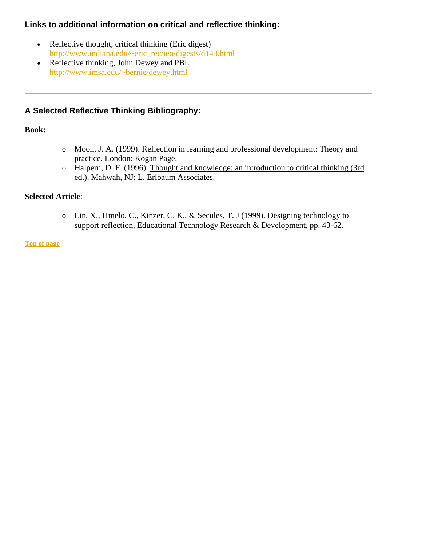# **Links to additional information on critical and reflective thinking:**

- Reflective thought, critical thinking (Eric digest) http://www.indiana.edu/~eric\_rec/ieo/digests/d143.html
- Reflective thinking, John Dewey and PBL http://www.imsa.edu/~bernie/dewey.html

# **A Selected Reflective Thinking Bibliography:**

## **Book:**

- o Moon, J. A. (1999). Reflection in learning and professional development: Theory and practice. London: Kogan Page.
- o Halpern, D. F. (1996). Thought and knowledge: an introduction to critical thinking (3rd ed.). Mahwah, NJ: L. Erlbaum Associates.

## **Selected Article**:

o Lin, X., Hmelo, C., Kinzer, C. K., & Secules, T. J (1999). Designing technology to support reflection, Educational Technology Research & Development, pp. 43-62.

## **Top of page**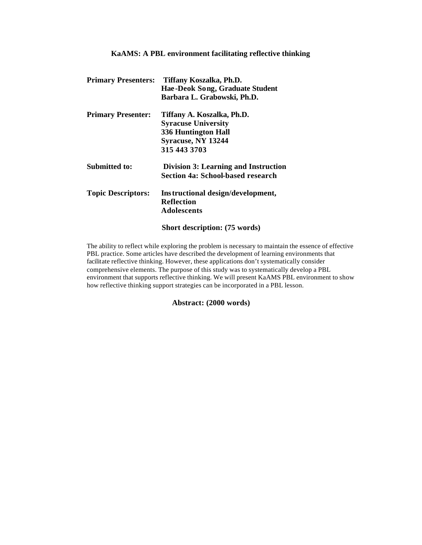| <b>Primary Presenters:</b> | Tiffany Koszalka, Ph.D.<br>Hae-Deok Song, Graduate Student<br>Barbara L. Grabowski, Ph.D.                                           |
|----------------------------|-------------------------------------------------------------------------------------------------------------------------------------|
| <b>Primary Presenter:</b>  | Tiffany A. Koszalka, Ph.D.<br><b>Syracuse University</b><br><b>336 Huntington Hall</b><br><b>Syracuse, NY 13244</b><br>315 443 3703 |
| Submitted to:              | Division 3: Learning and Instruction<br><b>Section 4a: School-based research</b>                                                    |
| <b>Topic Descriptors:</b>  | Instructional design/development,<br><b>Reflection</b><br><b>Adolescents</b><br>Short description: (75 words)                       |

The ability to reflect while exploring the problem is necessary to maintain the essence of effective PBL practice. Some articles have described the development of learning environments that facilitate reflective thinking. However, these applications don't systematically consider comprehensive elements. The purpose of this study was to systematically develop a PBL environment that supports reflective thinking. We will present KaAMS PBL environment to show how reflective thinking support strategies can be incorporated in a PBL lesson.

#### **Abstract: (2000 words)**

#### **KaAMS: A PBL environment facilitating reflective thinking**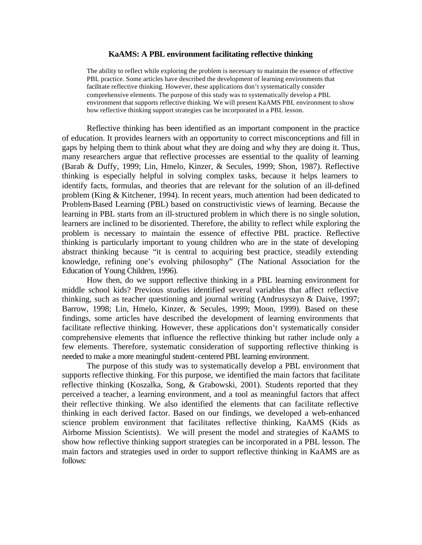#### **KaAMS: A PBL environment facilitating reflective thinking**

The ability to reflect while exploring the problem is necessary to maintain the essence of effective PBL practice. Some articles have described the development of learning environments that facilitate reflective thinking. However, these applications don't systematically consider comprehensive elements. The purpose of this study was to systematically develop a PBL environment that supports reflective thinking. We will present KaAMS PBL environment to show how reflective thinking support strategies can be incorporated in a PBL lesson.

Reflective thinking has been identified as an important component in the practice of education. It provides learners with an opportunity to correct misconceptions and fill in gaps by helping them to think about what they are doing and why they are doing it. Thus, many researchers argue that reflective processes are essential to the quality of learning (Barab & Duffy, 1999; Lin, Hmelo, Kinzer, & Secules, 1999; Shon, 1987). Reflective thinking is especially helpful in solving complex tasks, because it helps learners to identify facts, formulas, and theories that are relevant for the solution of an ill-defined problem (King & Kitchener, 1994). In recent years, much attention had been dedicated to Problem-Based Learning (PBL) based on constructivistic views of learning. Because the learning in PBL starts from an ill-structured problem in which there is no single solution, learners are inclined to be disoriented. Therefore, the ability to reflect while exploring the problem is necessary to maintain the essence of effective PBL practice. Reflective thinking is particularly important to young children who are in the state of developing abstract thinking because "it is central to acquiring best practice, steadily extending knowledge, refining one's evolving philosophy" (The National Association for the Education of Young Children, 1996).

How then, do we support reflective thinking in a PBL learning environment for middle school kids? Previous studies identified several variables that affect reflective thinking, such as teacher questioning and journal writing (Andrusyszyn & Daive, 1997; Barrow, 1998; Lin, Hmelo, Kinzer, & Secules, 1999; Moon, 1999). Based on these findings, some articles have described the development of learning environments that facilitate reflective thinking. However, these applications don't systematically consider comprehensive elements that influence the reflective thinking but rather include only a few elements. Therefore, systematic consideration of supporting reflective thinking is needed to make a more meaningful student-centered PBL learning environment.

The purpose of this study was to systematically develop a PBL environment that supports reflective thinking. For this purpose, we identified the main factors that facilitate reflective thinking (Koszalka, Song, & Grabowski, 2001). Students reported that they perceived a teacher, a learning environment, and a tool as meaningful factors that affect their reflective thinking. We also identified the elements that can facilitate reflective thinking in each derived factor. Based on our findings, we developed a web-enhanced science problem environment that facilitates reflective thinking, KaAMS (Kids as Airborne Mission Scientists). We will present the model and strategies of KaAMS to show how reflective thinking support strategies can be incorporated in a PBL lesson. The main factors and strategies used in order to support reflective thinking in KaAMS are as follows: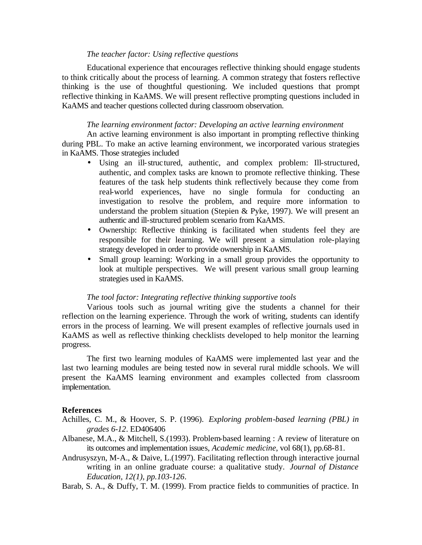#### *The teacher factor: Using reflective questions*

Educational experience that encourages reflective thinking should engage students to think critically about the process of learning. A common strategy that fosters reflective thinking is the use of thoughtful questioning. We included questions that prompt reflective thinking in KaAMS. We will present reflective prompting questions included in KaAMS and teacher questions collected during classroom observation.

#### *The learning environment factor: Developing an active learning environment*

An active learning environment is also important in prompting reflective thinking during PBL. To make an active learning environment, we incorporated various strategies in KaAMS. Those strategies included

- Using an ill-structured, authentic, and complex problem: Ill-structured, authentic, and complex tasks are known to promote reflective thinking. These features of the task help students think reflectively because they come from real-world experiences, have no single formula for conducting an investigation to resolve the problem, and require more information to understand the problem situation (Stepien & Pyke, 1997). We will present an authentic and ill-structured problem scenario from KaAMS.
- Ownership: Reflective thinking is facilitated when students feel they are responsible for their learning. We will present a simulation role-playing strategy developed in order to provide ownership in KaAMS.
- Small group learning: Working in a small group provides the opportunity to look at multiple perspectives. We will present various small group learning strategies used in KaAMS.

#### *The tool factor: Integrating reflective thinking supportive tools*

Various tools such as journal writing give the students a channel for their reflection on the learning experience. Through the work of writing, students can identify errors in the process of learning. We will present examples of reflective journals used in KaAMS as well as reflective thinking checklists developed to help monitor the learning progress.

The first two learning modules of KaAMS were implemented last year and the last two learning modules are being tested now in several rural middle schools. We will present the KaAMS learning environment and examples collected from classroom implementation.

#### **References**

- Achilles, C. M., & Hoover, S. P. (1996). *Exploring problem-based learning (PBL) in grades 6-12*. ED406406
- Albanese, M.A., & Mitchell, S.(1993). Problem-based learning : A review of literature on its outcomes and implementation issues, *Academic medicine*, vol 68(1), pp.68-81.
- Andrusyszyn, M-A., & Daive, L.(1997). Facilitating reflection through interactive journal writing in an online graduate course: a qualitative study. *Journal of Distance Education, 12(1), pp.103-126*.
- Barab, S. A., & Duffy, T. M. (1999). From practice fields to communities of practice. In